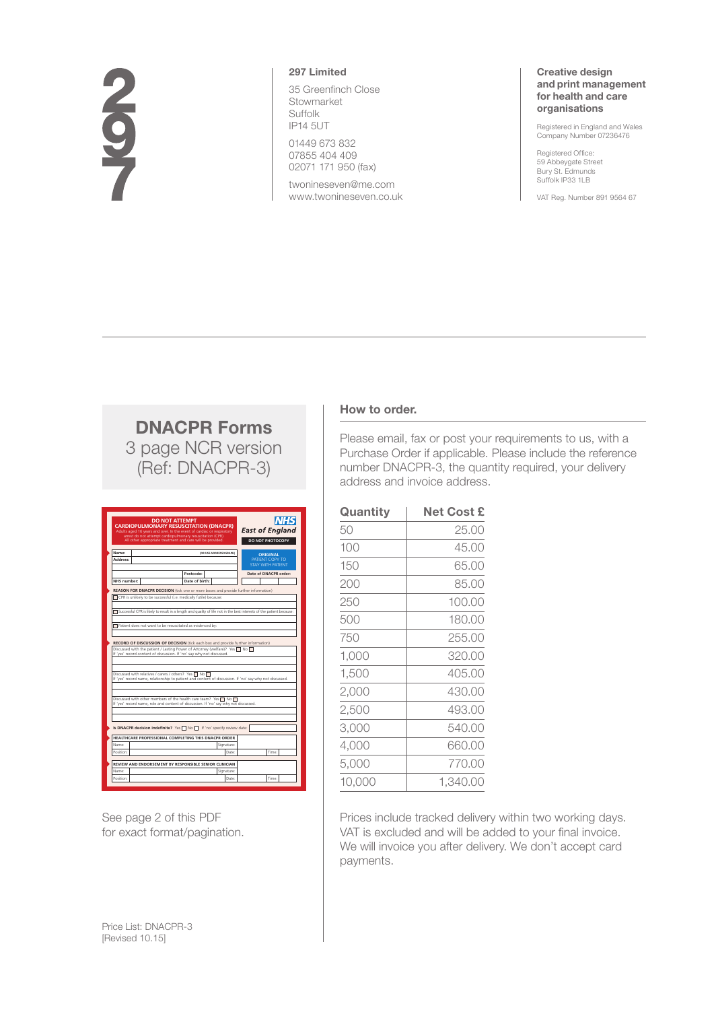# 297

## **297 Limited**

35 Greenfinch Close Stowmarket Suffolk IP14 5UT

01449 673 832 07855 404 409 02071 171 950 (fax)

twonineseven@me.com www.twonineseven.co.uk

### **Creative design and print management for health and care organisations**

Registered in England and Wales Company Number 07236476

Registered Office: 59 Abbeygate Street Bury St. Edmunds Suffolk IP33 1LB

VAT Reg. Number 891 9564 67

# **DNACPR Forms** 3 page NCR version (Ref: DNACPR-3)

|                                                           | <b>DO NOT ATTEMPT</b><br><b>CARDIOPULMONARY RESUSCITATION (DNACPR)</b><br>Adults aged 16 years and over. In the event of cardiac or respiratory | <b>INHS</b><br><b>East of England</b>                   |  |
|-----------------------------------------------------------|-------------------------------------------------------------------------------------------------------------------------------------------------|---------------------------------------------------------|--|
|                                                           | arrest do not attempt cardiopulmonary resuscitation (CPR).<br>All other appropriate treatment and care will be provided.                        | DO NOT PHOTOCOPY                                        |  |
| Name:<br>Address:                                         | (OR USE ADDRESSOGRAPH)                                                                                                                          | <b>ORIGINAL</b><br>PATIENT COPY TO<br>STAY WITH PATIENT |  |
|                                                           | Postcode:                                                                                                                                       | Date of DNACPR order:                                   |  |
| NHS number:                                               | Date of birth:                                                                                                                                  |                                                         |  |
|                                                           | <b>REASON FOR DNACPR DECISION</b> (tick one or more boxes and provide further information)                                                      |                                                         |  |
|                                                           | CPR is unlikely to be successful (i.e. medically futile) because:                                                                               |                                                         |  |
|                                                           |                                                                                                                                                 |                                                         |  |
|                                                           | Successful CPR is likely to result in a length and quality of life not in the best interests of the patient because:                            |                                                         |  |
|                                                           |                                                                                                                                                 |                                                         |  |
| Patient does not want to be resuscitated as evidenced by: |                                                                                                                                                 |                                                         |  |
|                                                           |                                                                                                                                                 |                                                         |  |
|                                                           | If 'ves' record content of discussion. If 'no' say why not discussed.<br>Discussed with relatives / carers / others? Yes □ No                   |                                                         |  |
|                                                           | If 'yes' record name, relationship to patient and content of discussion. If 'no' say why not discussed.                                         |                                                         |  |
|                                                           |                                                                                                                                                 |                                                         |  |
|                                                           | Discussed with other members of the health care team? Yes $\Box$ No $\Box$                                                                      |                                                         |  |
|                                                           | If 'ves' record name, role and content of discussion. If 'no' say why not discussed.                                                            |                                                         |  |
|                                                           |                                                                                                                                                 |                                                         |  |
|                                                           |                                                                                                                                                 |                                                         |  |
|                                                           | Is DNACPR decision indefinite? Yes No T If 'no' specify review date:                                                                            |                                                         |  |
|                                                           | HEALTHCARE PROFESSIONAL COMPLETING THIS DNACPR ORDER                                                                                            |                                                         |  |
| Name:                                                     | Signature:                                                                                                                                      |                                                         |  |
| Position:                                                 | Date:                                                                                                                                           | Time:                                                   |  |
|                                                           |                                                                                                                                                 |                                                         |  |
|                                                           | REVIEW AND ENDORSEMENT BY RESPONSIBLE SENIOR CLINICIAN                                                                                          |                                                         |  |
| Name:<br>Position:                                        | Signature:<br>Date:                                                                                                                             | Time:                                                   |  |

See page 2 of this PDF for exact format/pagination.

# **How to order.**

Please email, fax or post your requirements to us, with a Purchase Order if applicable. Please include the reference number DNACPR-3, the quantity required, your delivery address and invoice address.

| Quantity | <b>Net Cost £</b> |
|----------|-------------------|
| 50       | 25.00             |
| 100      | 45.00             |
| 150      | 65.00             |
| 200      | 85.00             |
| 250      | 100.00            |
| 500      | 180.00            |
| 750      | 255.00            |
| 1,000    | 320.00            |
| 1,500    | 405.00            |
| 2,000    | 430.00            |
| 2,500    | 493.00            |
| 3,000    | 540.00            |
| 4,000    | 660.00            |
| 5,000    | 770.00            |
| 10,000   | 1.340.00          |

Prices include tracked delivery within two working days. VAT is excluded and will be added to your final invoice. We will invoice you after delivery. We don't accept card payments.